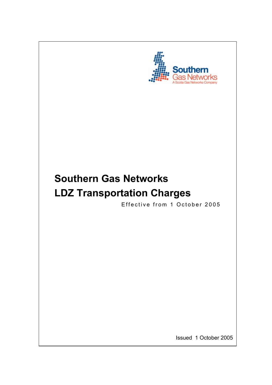

# **Southern Gas Networks LDZ Transportation Charges**

Effective from 1 October 2005

Issued 1 October 2005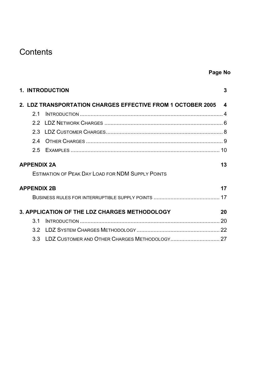## **Contents**

|                    | <b>1. INTRODUCTION</b>                                        | 3  |
|--------------------|---------------------------------------------------------------|----|
|                    | 2. LDZ TRANSPORTATION CHARGES EFFECTIVE FROM 1 OCTOBER 2005 4 |    |
| 21                 |                                                               |    |
|                    |                                                               |    |
|                    |                                                               |    |
| 24                 |                                                               |    |
|                    |                                                               |    |
| <b>APPENDIX 2A</b> |                                                               | 13 |
|                    | <b>ESTIMATION OF PEAK DAY LOAD FOR NDM SUPPLY POINTS</b>      |    |
| <b>APPENDIX 2B</b> |                                                               | 17 |
|                    |                                                               |    |
|                    | 3. APPLICATION OF THE LDZ CHARGES METHODOLOGY                 | 20 |
| $\overline{3}$ 1   |                                                               |    |
| 3.2                |                                                               |    |
|                    |                                                               |    |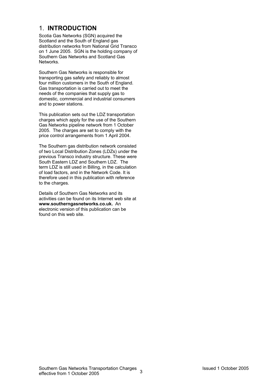### 1. **INTRODUCTION**

Scotia Gas Networks (SGN) acquired the Scotland and the South of England gas distribution networks from National Grid Transco on 1 June 2005. SGN is the holding company of Southern Gas Networks and Scotland Gas Networks.

Southern Gas Networks is responsible for transporting gas safely and reliably to almost four million customers in the South of England. Gas transportation is carried out to meet the needs of the companies that supply gas to domestic, commercial and industrial consumers and to power stations.

This publication sets out the LDZ transportation charges which apply for the use of the Southern Gas Networks pipeline network from 1 October 2005. The charges are set to comply with the price control arrangements from 1 April 2004.

The Southern gas distribution network consisted of two Local Distribution Zones (LDZs) under the previous Transco industry structure. These were South Eastern LDZ and Southern LDZ. The term LDZ is still used in Billing, in the calculation of load factors, and in the Network Code. It is therefore used in this publication with reference to the charges.

Details of Southern Gas Networks and its activities can be found on its Internet web site at **www.southerngasnetworks.co.uk.** An electronic version of this publication can be found on this web site.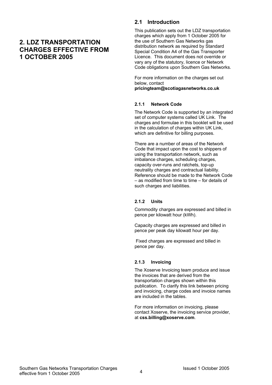### **2. LDZ TRANSPORTATION CHARGES EFFECTIVE FROM 1 OCTOBER 2005**

### **2.1 Introduction**

This publication sets out the LDZ transportation charges which apply from 1 October 2005 for the use of Southern Gas Networks gas distribution network as required by Standard Special Condition A4 of the Gas Transporter Licence. This document does not override or vary any of the statutory, licence or Network Code obligations upon Southern Gas Networks.

For more information on the charges set out below, contact **pricingteam@scotiagasnetworks.co.uk**

#### **2.1.1 Network Code**

The Network Code is supported by an integrated set of computer systems called UK Link. The charges and formulae in this booklet will be used in the calculation of charges within UK Link, which are definitive for billing purposes.

There are a number of areas of the Network Code that impact upon the cost to shippers of using the transportation network, such as imbalance charges, scheduling charges, capacity over-runs and ratchets, top-up neutrality charges and contractual liability. Reference should be made to the Network Code – as modified from time to time – for details of such charges and liabilities.

#### **2.1.2 Units**

Commodity charges are expressed and billed in pence per kilowatt hour (kWh).

Capacity charges are expressed and billed in pence per peak day kilowatt hour per day.

 Fixed charges are expressed and billed in pence per day.

#### **2.1.3 Invoicing**

The Xoserve Invoicing team produce and issue the invoices that are derived from the transportation charges shown within this publication. To clarify this link between pricing and invoicing, charge codes and invoice names are included in the tables.

For more information on invoicing, please contact Xoserve, the invoicing service provider, at **css.billing@xoserve.com**.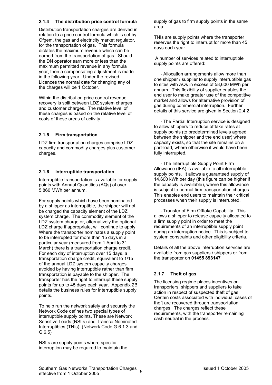### **2.1.4 The distribution price control formula**

Distribution transportation charges are derived in relation to a price control formula which is set by Ofgem, the gas and electricity market regulator, for the transportation of gas. This formula dictates the maximum revenue which can be earned from the transportation of gas. Should the DN operator earn more or less than the maximum permitted revenue in any formula year, then a compensating adjustment is made in the following year. Under the revised Licences the normal date for changing any of the charges will be 1 October.

Within the distribution price control revenue recovery is split between LDZ system charges and customer charges. The relative level of these charges is based on the relative level of costs of these areas of activity.

#### **2.1.5 Firm transportation**

LDZ firm transportation charges comprise LDZ capacity and commodity charges plus customer charges.

#### **2.1.6 Interruptible transportation**

Interruptible transportation is available for supply points with Annual Quantities (AQs) of over 5,860 MWh per annum.

For supply points which have been nominated by a shipper as interruptible, the shipper will not be charged the capacity element of the LDZ system charge. The commodity element of the LDZ system charge or, alternatively the optional LDZ charge if appropriate, will continue to apply. Where the transporter nominates a supply point to be interrupted for more than 15 days in a particular year (measured from 1 April to 31 March) there is a transportation charge credit. For each day of interruption over 15 days, a transportation charge credit, equivalent to 1/15 of the annual LDZ system capacity charges avoided by having interruptible rather than firm transportation is payable to the shipper. The transporter has the right to interrupt these supply points for up to 45 days each year. Appendix 2B details the business rules for interruptible supply points.

To help run the network safely and securely the Network Code defines two special types of interruptible supply points. These are Network Sensitive Loads (NSLs) and Transco Nominated Interruptibles (TNIs). (Network Code G 6.1.3 and G 6.5)

NSLs are supply points where specific interruption may be required to maintain the supply of gas to firm supply points in the same area.

TNIs are supply points where the transporter reserves the right to interrupt for more than 45 days each year.

 A number of services related to interruptible supply points are offered:

- Allocation arrangements allow more than one shipper / supplier to supply interruptible gas to sites with AQs in excess of 58,600 MWh per annum. This flexibility of supplier enables the end user to make greater use of the competitive market and allows for alternative provision of gas during commercial interruption. Further details of this service are given in Section 2.4.2.

- The Partial Interruption service is designed to allow shippers to reduce offtake rates at supply points (to predetermined levels agreed between the shipper and the end user) where capacity exists, so that the site remains on a part-load, where otherwise it would have been fully interrupted.

- The Interruptible Supply Point Firm Allowance (IFA) is available to all interruptible supply points. It allows a guaranteed supply of 14,600 kWh per day (this figure can be higher if the capacity is available), where this allowance is subject to normal firm transportation charges. This enables end users to maintain their critical processes when their supply is interrupted.

- Transfer of Firm Offtake Capability. This allows a shipper to release capacity allocated to a firm supply point in order to meet the requirements of an interruptible supply point during an interruption notice. This is subject to system constraints and other eligibility criteria.

Details of all the above interruption services are available from gas suppliers / shippers or from the transporter on **01455 893147**

#### **2.1.7 Theft of gas**

The licensing regime places incentives on transporters, shippers and suppliers to take action in respect of suspected theft of gas. Certain costs associated with individual cases of theft are recovered through transportation charges. The charges reflect these requirements, with the transporter remaining cash neutral in the process.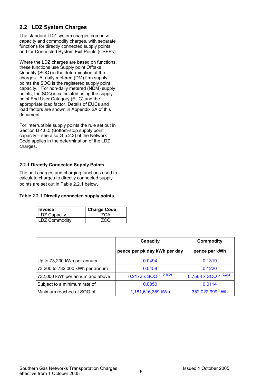### **2.2 LDZ System Charges**

The standard LDZ system charges comprise capacity and commodity charges, with separate functions for directly connected supply points and for Connected System Exit Points (CSEPs).

Where the LDZ charges are based on functions, these functions use Supply point Offtake Quantity (SOQ) in the determination of the charges. At daily metered (DM) firm supply points the SOQ is the registered supply point capacity. For non-daily metered (NDM) supply points, the SOQ is calculated using the supply point End User Category (EUC) and the appropriate load factor. Details of EUCs and load factors are shown in Appendix 2A of this document.

For interruptible supply points the rule set out in Section B 4.6.5 (Bottom-stop supply point capacity – see also G 5.2.3) of the Network Code applies in the determination of the LDZ charges.

#### **2.2.1 Directly Connected Supply Points**

The unit charges and charging functions used to calculate charges to directly connected supply points are set out in Table 2.2.1 below.

#### **Table 2.2.1 Directly connected supply points**

| <b>Invoice</b> | <b>Charge Code</b> |
|----------------|--------------------|
| LDZ Capacity   | <b>ZCA</b>         |
| LDZ Commodity  | 7CO                |

|                                 | Capacity                     | <b>Commodity</b>       |
|---------------------------------|------------------------------|------------------------|
|                                 | pence per pk day kWh per day | pence per kWh          |
| Up to 73,200 kWh per annum      | 0.0494                       | 0.1319                 |
| 73,200 to 732,000 kWh per annum | 0.0458                       | 0.1220                 |
| 732,000 kWh per annum and above | 0.2172 x SOQ ^ -0.1806       | 0.7568 x SOQ ^ -0.2121 |
| Subject to a minimum rate of    | 0.0050                       | 0.0114                 |
| Minimum reached at SOQ of       | 1,181,616,389 kWh            | 382,022,999 kWh        |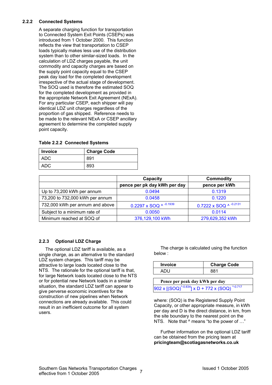#### **2.2.2 Connected Systems**

A separate charging function for transportation to Connected System Exit Points (CSEPs) was introduced from 1 October 2000. This function reflects the view that transportation to CSEP loads typically makes less use of the distribution system than to other similar-sized loads. In the calculation of LDZ charges payable, the unit commodity and capacity charges are based on the supply point capacity equal to the CSEP peak day load for the completed development irrespective of the actual stage of development. The SOQ used is therefore the estimated SOQ for the completed development as provided in the appropriate Network Exit Agreement (NExA). For any particular CSEP, each shipper will pay identical LDZ unit charges regardless of the proportion of gas shipped. Reference needs to be made to the relevant NExA or CSEP ancillary agreement to determine the completed supply point capacity.

#### **Table 2.2.2 Connected Systems**

| <b>Invoice</b> | <b>Charge Code</b> |
|----------------|--------------------|
| ADC            | 891                |
| ADC            | 893                |

|                                 | Capacity                     | <b>Commodity</b>       |
|---------------------------------|------------------------------|------------------------|
|                                 | pence per pk day kWh per day | pence per kWh          |
| Up to 73,200 kWh per annum      | 0.0494                       | 0.1319                 |
| 73,200 to 732,000 kWh per annum | 0.0458                       | 0.1220                 |
| 732,000 kWh per annum and above | 0.2297 x SOQ ^ $-0.1939$     | 0.7222 x SOQ ^ -0.2131 |
| Subject to a minimum rate of    | 0.0050                       | 0.0114                 |
| Minimum reached at SOQ of       | 376,129,100 kWh              | 279,629,352 kWh        |

#### **2.2.3 Optional LDZ Charge**

The optional LDZ tariff is available, as a single charge, as an alternative to the standard LDZ system charges. This tariff may be attractive to large loads located close to the NTS. The rationale for the optional tariff is that, for large Network loads located close to the NTS or for potential new Network loads in a similar situation, the standard LDZ tariff can appear to give perverse economic incentives for the construction of new pipelines when Network connections are already available. This could result in an inefficient outcome for all system users.

The charge is calculated using the function below :

| Invoice | <b>Charge Code</b> |
|---------|--------------------|
|         |                    |

**Pence per peak day kWh per day**  $902 \times$  [(SOQ)<sup>^-0.834</sup>] x D + 772 x (SOQ)

where: (SOQ) is the Registered Supply Point Capacity, or other appropriate measure, in kWh per day and D is the direct distance, in km, from the site boundary to the nearest point on the NTS. Note that  $\land$  means "to the power of ..."

Further information on the optional LDZ tariff can be obtained from the pricing team at **pricingteam@scotiagasnetworks.co.uk**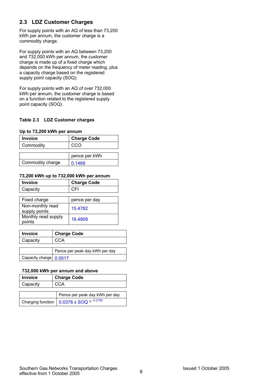### **2.3 LDZ Customer Charges**

For supply points with an AQ of less than 73,200 kWh per annum, the customer charge is a commodity charge.

For supply points with an AQ between 73,200 and 732,000 kWh per annum, the customer charge is made up of a fixed charge which depends on the frequency of meter reading, plus a capacity charge based on the registered supply point capacity (SOQ).

For supply points with an AQ of over 732,000 kWh per annum, the customer charge is based on a function related to the registered supply point capacity (SOQ).

#### **Table 2.3 LDZ Customer charges**

#### **Up to 73,200 kWh per annum**

| <b>Invoice</b>   | <b>Charge Code</b> |
|------------------|--------------------|
| Commodity        | CCO                |
|                  |                    |
|                  | pence per kWh      |
| Commodity charge | 0.1469             |

#### **73,200 kWh up to 732,000 kWh per annum**

| <b>Invoice</b>                    | <b>Charge Code</b> |
|-----------------------------------|--------------------|
| Capacity                          | CFI                |
|                                   |                    |
| Fixed charge                      | pence per day      |
| Non-monthly read<br>supply points | 15.4782            |
| Monthly read supply<br>points     | 16.4809            |

| <b>Invoice</b>         | <b>Charge Code</b>             |  |
|------------------------|--------------------------------|--|
| Capacity               | CCA                            |  |
|                        |                                |  |
|                        | Pence per peak day kWh per day |  |
| Capacity charge 0.0017 |                                |  |

#### **732,000 kWh per annum and above**

| <b>Invoice</b> | <b>Charge Code</b>             |
|----------------|--------------------------------|
| Capacity       | CCA                            |
|                |                                |
|                | Pence per peak day kWh per day |

| I Felice pei pean uay nyvii pei uay                             |
|-----------------------------------------------------------------|
| Charging function $\Big  0.0376 \times SOQ^{A^{-0.2100}} \Big $ |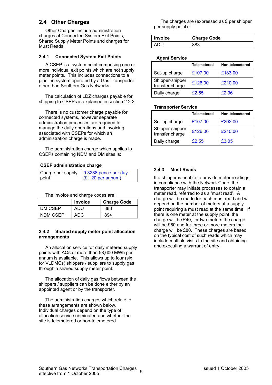### **2.4 Other Charges**

Other Charges include administration charges at Connected System Exit Points, Shared Supply Meter Points and charges for Must Reads.

#### **2.4.1 Connected System Exit Points**

A CSEP is a system point comprising one or more individual exit points which are not supply meter points. This includes connections to a pipeline system operated by a Gas Transporter other than Southern Gas Networks.

The calculation of LDZ charges payable for shipping to CSEPs is explained in section 2.2.2.

There is no customer charge payable for connected systems, however separate administration processes are required to manage the daily operations and invoicing associated with CSEPs for which an administration charge is made.

The administration charge which applies to CSEPs containing NDM and DM sites is:

#### **CSEP administration charge**

|       | Charge per supply $\vert$ 0.3288 pence per day |
|-------|------------------------------------------------|
| point | $(E1.20 \text{ per annum})$                    |

The invoice and charge codes are:

|          | <b>Invoice</b> | <b>Charge Code</b> |
|----------|----------------|--------------------|
| DM CSEP  | ADU            | 883                |
| NDM CSEP | ADC            | 894                |

#### **2.4.2 Shared supply meter point allocation arrangements**

An allocation service for daily metered supply points with AQs of more than 58,600 MWh per annum is available. This allows up to four (six for VLDMCs) shippers / suppliers to supply gas through a shared supply meter point.

The allocation of daily gas flows between the shippers / suppliers can be done either by an appointed agent or by the transporter.

The administration charges which relate to these arrangements are shown below. Individual charges depend on the type of allocation service nominated and whether the site is telemetered or non-telemetered.

The charges are (expressed as £ per shipper per supply point) :

| <b>Invoice</b> | <b>Charge Code</b> |
|----------------|--------------------|
| ADU            | 883                |

#### **Agent Service**

|                                    | <b>Telemetered</b> | Non-telemetered |
|------------------------------------|--------------------|-----------------|
| Set-up charge                      | £107.00            | £183.00         |
| Shipper-shipper<br>transfer charge | £126.00            | £210.00         |
| Daily charge                       | £2.55              | £2.96           |

#### **Transporter Service**

|                                    | <b>Telemetered</b> | Non-telemetered |
|------------------------------------|--------------------|-----------------|
| Set-up charge                      | £107.00            | £202.00         |
| Shipper-shipper<br>transfer charge | £126.00            | £210.00         |
| Daily charge                       | £2.55              | £3.05           |

#### **2.4.3 Must Reads**

If a shipper is unable to provide meter readings in compliance with the Network Code, the transporter may initiate processes to obtain a meter read, referred to as a 'must read'. A charge will be made for each must read and will depend on the number of meters at a supply point requiring a must read at the same time. If there is one meter at the supply point, the charge will be £40, for two meters the charge will be £60 and for three or more meters the charge will be £80. These charges are based on the typical cost of such reads which may include multiple visits to the site and obtaining and executing a warrant of entry.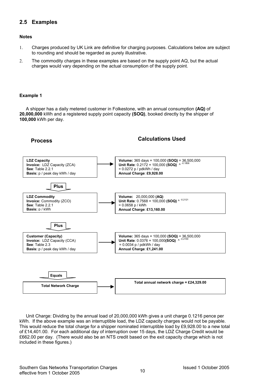### **2.5 Examples**

#### **Notes**

- 1. Charges produced by UK Link are definitive for charging purposes. Calculations below are subject to rounding and should be regarded as purely illustrative.
- 2. The commodity charges in these examples are based on the supply point AQ, but the actual charges would vary depending on the actual consumption of the supply point.

#### **Example 1**

A shipper has a daily metered customer in Folkestone, with an annual consumption **(AQ)** of **20,000,000** kWh and a registered supply point capacity **(SOQ)**, booked directly by the shipper of **100,000** kWh per day.

### **Process Calculations Used**



Unit Charge: Dividing by the annual load of 20,000,000 kWh gives a unit charge 0.1216 pence per kWh. If the above example was an interruptible load, the LDZ capacity charges would not be payable. This would reduce the total charge for a shipper nominated interruptible load by £9,928.00 to a new total of £14,401.00. For each additional day of interruption over 15 days, the LDZ Charge Credit would be £662.00 per day. (There would also be an NTS credit based on the exit capacity charge which is not included in these figures.)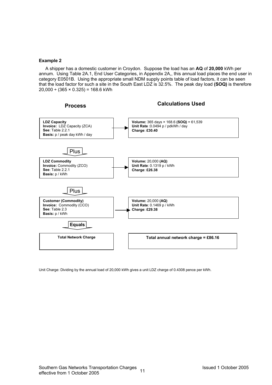#### **Example 2**

A shipper has a domestic customer in Croydon. Suppose the load has an **AQ** of **20,000** kWh per annum. Using Table 2A.1, End User Categories, in Appendix 2A,, this annual load places the end user in category E0501B. Using the appropriate small NDM supply points table of load factors, it can be seen that the load factor for such a site in the South East LDZ is 32.5%. The peak day load **(SOQ)** is therefore  $20,000 \div (365 \times 0.325) = 168.6$  kWh



Unit Charge: Dividing by the annual load of 20,000 kWh gives a unit LDZ charge of 0.4308 pence per kWh.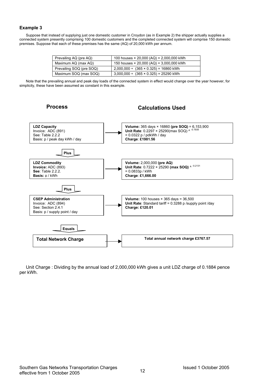#### **Example 3**

Suppose that instead of supplying just one domestic customer in Croydon (as in Example 2) the shipper actually supplies a connected system presently comprising 100 domestic customers and the completed connected system will comprise 150 domestic premises. Suppose that each of these premises has the same (AQ) of 20,000 kWh per annum.

| Prevailing AQ (pre AQ)   | 100 houses $\times$ 20,000 (AQ) = 2,000,000 kWh |
|--------------------------|-------------------------------------------------|
| Maximum AQ (max AQ)      | 150 houses $\times$ 20,000 (AQ) = 3,000,000 kWh |
| Prevailing SOQ (pre SOQ) | $2,000,000 \div (365 \times 0.325) = 16860$ kWh |
| Maximum SOQ (max SOQ)    | $3,000,000 \div (365 \times 0.325) = 25290$ kWh |

Note that the prevailing annual and peak day loads of the connected system in effect would change over the year however, for simplicity, these have been assumed as constant in this example.

### **Process Calculations Used**



Unit Charge : Dividing by the annual load of 2,000,000 kWh gives a unit LDZ charge of 0.1884 pence per kWh.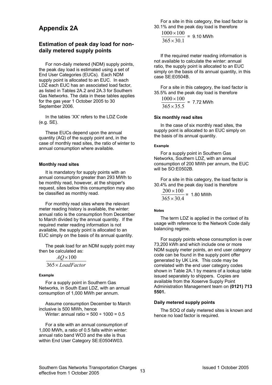### **Appendix 2A**

#### **Estimation of peak day load for nondaily metered supply points**

For non-daily metered (NDM) supply points, the peak day load is estimated using a set of End User Categories (EUCs). Each NDM supply point is allocated to an EUC. In each LDZ each EUC has an associated load factor, as listed in Tables 2A.2 and 2A.3 for Southern Gas Networks. The data in these tables applies for the gas year 1 October 2005 to 30 September 2006.

In the tables 'XX' refers to the LDZ Code (e.g. SE).

These EUCs depend upon the annual quantity (AQ) of the supply point and, in the case of monthly read sites, the ratio of winter to annual consumption where available.

#### **Monthly read sites**

It is mandatory for supply points with an annual consumption greater than 293 MWh to be monthly read, however, at the shipper's request, sites below this consumption may also be classified as monthly read.

For monthly read sites where the relevant meter reading history is available, the winter: annual ratio is the consumption from December to March divided by the annual quantity. If the required meter reading information is not available, the supply point is allocated to an EUC simply on the basis of its annual quantity.

The peak load for an NDM supply point may then be calculated as:

*LoadFactor* × 365 *AQ* × 100

#### **Example**

For a supply point in Southern Gas Networks, in South East LDZ, with an annual consumption of 1,000 MWh per annum.

Assume consumption December to March inclusive is 500 MWh, hence Winter: annual ratio =  $500 \div 1000 = 0.5$ 

For a site with an annual consumption of 1,000 MWh, a ratio of 0.5 falls within winter: annual ratio band WO3 and the site is thus within End User Category SE:E0504W03.

For a site in this category, the load factor is 30.1% and the peak day load is therefore

 $365 \times 30.1$  $1000 \times 100$ ×  $\frac{\times 100}{200}$  = 9.10 MWh

If the required meter reading information is not available to calculate the winter: annual ratio, the supply point is allocated to an EUC simply on the basis of its annual quantity, in this case SE:E0504B.

For a site in this category, the load factor is 35.5% and the peak day load is therefore

 $365 \times 35.5$  $1000 \times 100$ ×  $\frac{\times 100}{2555}$  = 7.72 MWh

#### **Six monthly read sites**

In the case of six monthly read sites, the supply point is allocated to an EUC simply on the basis of its annual quantity.

#### **Example**

For a supply point in Southern Gas Networks, Southern LDZ, with an annual consumption of 200 MWh per annum, the EUC will be SO:E0502B.

For a site in this category, the load factor is 30.4% and the peak day load is therefore

$$
\frac{200 \times 100}{365 \times 30.4}
$$
 = 1.80 MWh

#### **Notes**

The term LDZ is applied in the context of its usage with reference to the Network Code daily balancing regime.

For supply points whose consumption is over 73,200 kWh and which include one or more NDM supply meter points, an end user category code can be found in the supply point offer generated by UK Link. This code may be correlated with the end user category codes shown in Table 2A.1 by means of a lookup table issued separately to shippers. Copies are available from the Xoserve Supply Point Administration Management team on **(0121) 713 5501.** 

#### **Daily metered supply points**

The SOQ of daily metered sites is known and hence no load factor is required.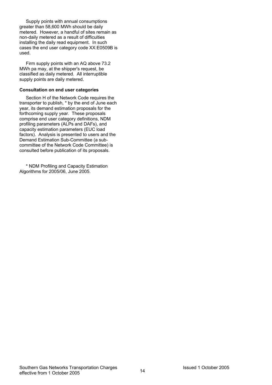Supply points with annual consumptions greater than 58,600 MWh should be daily metered. However, a handful of sites remain as non-daily metered as a result of difficulties installing the daily read equipment. In such cases the end user category code XX:E0509B is used.

Firm supply points with an AQ above 73.2 MWh pa may, at the shipper's request, be classified as daily metered. All interruptible supply points are daily metered.

#### **Consultation on end user categories**

Section H of the Network Code requires the transporter to publish, \* by the end of June each year, its demand estimation proposals for the forthcoming supply year. These proposals comprise end user category definitions, NDM profiling parameters (ALPs and DAFs), and capacity estimation parameters (EUC load factors). Analysis is presented to users and the Demand Estimation Sub-Committee (a subcommittee of the Network Code Committee) is consulted before publication of its proposals.

\* NDM Profiling and Capacity Estimation Algorithms for 2005/06, June 2005.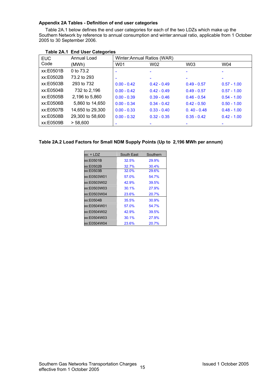#### **Appendix 2A Tables - Definition of end user categories**

Table 2A.1 below defines the end user categories for each of the two LDZs which make up the Southern Network by reference to annual consumption and winter:annual ratio, applicable from 1 October 2005 to 30 September 2006.

| <b>EUC</b> | Annual Load      | Winter: Annual Ratios (WAR) |               |               |               |
|------------|------------------|-----------------------------|---------------|---------------|---------------|
| Code       | (MWh)            | W01                         | W02           | W03           | W04           |
| xx:E0501B  | 0 to 73.2        |                             |               |               |               |
| xx:E0502B  | 73.2 to 293      |                             |               |               |               |
| xx:E0503B  | 293 to 732       | $0.00 - 0.42$               | $0.42 - 0.49$ | $0.49 - 0.57$ | $0.57 - 1.00$ |
| xx:E0504B  | 732 to 2,196     | $0.00 - 0.42$               | $0.42 - 0.49$ | $0.49 - 0.57$ | $0.57 - 1.00$ |
| xx:E0505B  | 2,196 to 5,860   | $0.00 - 0.39$               | $0.39 - 0.46$ | $0.46 - 0.54$ | $0.54 - 1.00$ |
| xx:E0506B  | 5,860 to 14,650  | $0.00 - 0.34$               | $0.34 - 0.42$ | $0.42 - 0.50$ | $0.50 - 1.00$ |
| xx:E0507B  | 14,650 to 29,300 | $0.00 - 0.33$               | $0.33 - 0.40$ | $0.40 - 0.48$ | $0.48 - 1.00$ |
| xx:E0508B  | 29,300 to 58,600 | $0.00 - 0.32$               | $0.32 - 0.35$ | $0.35 - 0.42$ | $0.42 - 1.00$ |
| xx:E0509B  | > 58,600         |                             |               |               |               |

#### **Table 2A.1 End User Categories**

#### **Table 2A.2 Load Factors for Small NDM Supply Points (Up to 2,196 MWh per annum)**

| $xx = LDZ$  | South East | Southern |
|-------------|------------|----------|
| xx:E0501B   | 32.5%      | 29.9%    |
| xx:E0502B   | 32.7%      | 30.4%    |
| xx:E0503B   | 32.0%      | 29.6%    |
| xx:E0503W01 | 57.0%      | 54.7%    |
| xx:E0503W02 | 42.9%      | 39.5%    |
| xx:E0503W03 | 30.1%      | 27.9%    |
| xx:E0503W04 | 23.6%      | 20.7%    |
| xx:E0504B   | 35.5%      | 30.9%    |
| xx:E0504W01 | 57.0%      | 54 7%    |
| xx:E0504W02 | 42.9%      | 39.5%    |
| xx:E0504W03 | 301%       | 27.9%    |
| xx:E0504W04 | 23.6%      | 20.7%    |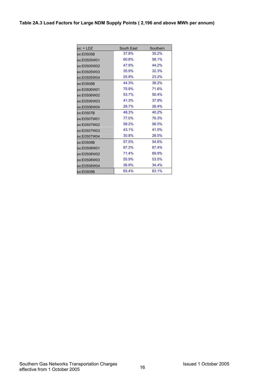| $xx: = LDZ$ | South East | Southern |
|-------------|------------|----------|
| xx:E0505B   | 37.8%      | 35.2%    |
| xx:E0505W01 | 60.8%      | 58.1%    |
| xx:E0505W02 | 47.9%      | 44.2%    |
| xx:E0505W03 | 35.9%      | 32.3%    |
| xx:E0505W04 | 25.9%      | 23.2%    |
| xx:E0506B   | 44.3%      | 38.2%    |
| xx:E0506W01 | 75.9%      | 71.6%    |
| xx:E0506W02 | 53.7%      | 50.4%    |
| xx:E0506W03 | 41.3%      | 37.9%    |
| xx:E0506W04 | 28.7%      | 26.4%    |
| xx:E0507B   | 48.3%      | 40.2%    |
| xx:E0507W01 | 77.0%      | 76.3%    |
| xx:E0507W02 | 58.2%      | 56.0%    |
| xx:E0507W03 | 43.1%      | 41.5%    |
| xx:E0507W04 | 30.8%      | 28.5%    |
| xx:E0508B   | 57.5%      | 54.6%    |
| xx:E0508W01 | 87.3%      | 87.4%    |
| xx:E0508W02 | 71.4%      | 69.9%    |
| xx:E0508W03 | 55.9%      | 53.5%    |
| xx:E0508W04 | 36.9%      | 34.4%    |
| xx:E0509B   | 65.4%      | 63.1%    |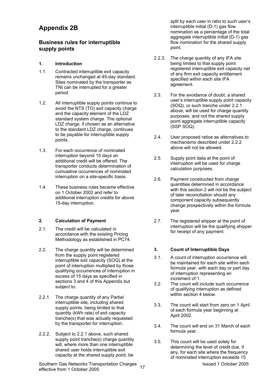### **Appendix 2B**

### **Business rules for interruptible supply points**

#### **1. Introduction**

- 1.1. Contracted interruptible exit capacity remains unchanged at 45-day standard. Sites nominated by the transporter as TNI can be interrupted for a greater period.
- 1.2. All interruptible supply points continue to avoid the NTS (TO) exit capacity charge and the capacity element of the LDZ standard system charge. The optional LDZ charge, if chosen as an alternative to the standard LDZ charge, continues to be payable for interruptible supply points.
- 1.3. For each occurrence of nominated interruption beyond 15 days an additional credit will be offered. The transporter conducts determination of cumulative occurrences of nominated interruption on a site-specific basis.
- 1.4. These business rules became effective on 1 October 2002 and refer to additional interruption credits for above 15-day interruption.

#### **2. Calculation of Payment**

- 2.1. The credit will be calculated in accordance with the existing Pricing Methodology as established in PC74.
- 2.2. The charge quantity will be determined from the supply point registered interruptible exit capacity (SOQ) at the point of interruption multiplied by those qualifying occurrences of interruption in excess of 15 days as specified in sections 3 and 4 of this Appendix but subject to:
- 2.2.1. The charge quantity of any Partial interruptible site, including shared supply points, being limited to that quantity (kWh rate) of exit capacity tranche(s) that was actually requested by the transporter for interruption.
- 2.2.2. Subject to 2.2.1 above, such shared supply point tranche(s) charge quantity will, where more than one interruptible shared user holds interruptible exit capacity at the shared supply point, be

Southern Gas Networks Transportation Charges 17 17 Southern Case of Case 1 October 2005 effective from 1 October 2005

split by each user in ratio to such user's interruptible initial (D-1) gas flow nomination as a percentage of the total aggregate interruptible initial (D-1) gas flow nomination for the shared supply point.

- 2.2.3. The charge quantity of any IFA site being limited to that supply point registered interruptible exit capacity net of any firm exit capacity entitlement specified within each site IFA agreement.
- 2.3. For the avoidance of doubt, a shared user's interruptible supply point capacity (SOQ), or such tranche under 2.2.1 above, will be used for charge quantity purposes, and not the shared supply point aggregate interruptible capacity (SSP SOQ).
- 2.4. User proposed ratios as alternatives to mechanisms described under 2.2.2 above will not be allowed.
- 2.5. Supply point data at the point of interruption will be used for charge calculation purposes.
- 2.6. Payment constructed from charge quantities determined in accordance with this section 2 will not be the subject of later reconciliation should any component capacity subsequently change prospectively within the formula year.
- 2.7. The registered shipper at the point of interruption will be the qualifying shipper for receipt of any payment.

#### **3. Count of Interruptible Days**

- 3.1. A count of interruption occurrence will be maintained for each site within each formula year, with each day or part day of interruption representing an increment of 1.
- 3.2. The count will include such occurrence of qualifying interruption as defined within section 4 below
- 3.3. The count will start from zero on 1 April of each formula year beginning at April 2002.
- 3.4. The count will end on 31 March of each formula year.
- 3.5. This count will be used solely for determining the level of credit due, if any, for each site where the frequency of nominated interruption exceeds 15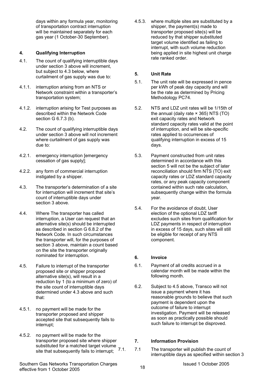days within any formula year, monitoring of transportation contract interruption will be maintained separately for each gas year (1 October-30 September).

#### **4. Qualifying Interruption**

- 4.1. The count of qualifying interruptible days under section 3 above will increment, but subject to 4.3 below, where curtailment of gas supply was due to:
- 4.1.1. interruption arising from an NTS or Network constraint within a transporter's transportation system;
- 4.1.2. interruption arising for Test purposes as described within the Network Code section G 6.7.3 (b).
- 4.2. The count of qualifying interruptible days under section 3 above will not increment where curtailment of gas supply was due to:
- 4.2.1. emergency interruption [emergency cessation of gas supply];
- 4.2.2. any form of commercial interruption instigated by a shipper.
- 4.3. The transporter's determination of a site for interruption will increment that site's count of interruptible days under section 3 above.
- 4.4. Where The transporter has called interruption, a User can request that an alternative site(s) should be interrupted as described in section G 6.8.2 of the Network Code. In such circumstances the transporter will, for the purposes of section 3 above, maintain a count based on the site the transporter originally nominated for interruption.
- 4.5. Failure to interrupt of the transporter proposed site or shipper proposed alternative site(s), will result in a reduction by 1 (to a minimum of zero) of the site count of interruptible days determined under 4.3 above and such that:
- 4.5.1. no payment will be made for the transporter proposed and shipper accepted site that subsequently fails to interrupt;
- 4.5.2. no payment will be made for the transporter proposed site where shipper substituted for a matched target volume site that subsequently fails to interrupt;

4.5.3. where multiple sites are substituted by a shipper, the payment(s) made to transporter proposed site(s) will be reduced by that shipper substituted target volume identified as failing to interrupt, with such volume reduction being applied in site highest unit charge rate ranked order.

#### **5. Unit Rate**

- 5.1. The unit rate will be expressed in pence per kWh of peak day capacity and will be the rate as determined by Pricing Methodology PC74.
- 5.2. NTS and LDZ unit rates will be 1/15th of the annual (daily rate × 365) NTS (TO) exit capacity rates and Network standard capacity rates valid at the point of interruption, and will be site-specific rates applied to occurrences of qualifying interruption in excess of 15 days.
- 5.3. Payment constructed from unit rates determined in accordance with this section 5 will not be the subject of later reconciliation should firm NTS (TO) exit capacity rates or LDZ standard capacity rates, or any peak capacity component contained within such rate calculation, subsequently change within the formula year.
- 5.4. For the avoidance of doubt, User election of the optional LDZ tariff excludes such sites from qualification for LDZ payments in respect of interruption in excess of 15 days, such sites will still be eligible for receipt of any NTS component.

#### **6. Invoice**

- 6.1. Payment of all credits accrued in a calendar month will be made within the following month.
- 6.2. Subject to 4.5 above, Transco will not issue a payment where it has reasonable grounds to believe that such payment is dependent upon the outcome of failure to interrupt investigation. Payment will be released as soon as practically possible should such failure to interrupt be disproved.

#### **7. Information Provision**

7.1 The transporter will publish the count of interruptible days as specified within section 3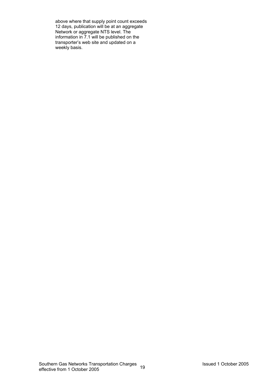above where that supply point count exceeds 12 days, publication will be at an aggregate Network or aggregate NTS level. The information in 7.1 will be published on the transporter's web site and updated on a weekly basis.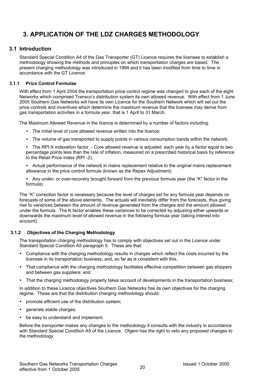## **3. APPLICATION OF THE LDZ CHARGES METHODOLOGY**

### **3.1 Introduction**

Standard Special Condition A4 of the Gas Transporter (GT) Licence requires the licensee to establish a methodology showing the methods and principles on which transportation charges are based. The present charging methodology was introduced in 1994 and it has been modified from time to time in accordance with the GT Licence.

#### **3.1.1 Price Control Formulae**

With effect from 1 April 2004 the transportation price control regime was changed to give each of the eight Networks which comprised Transco's distribution system its own allowed revenue. With effect from 1 June 2005 Southern Gas Networks will have its own Licence for the Southern Network which will set out the price controls and incentives which determine the maximum revenue that the licensee may derive from gas transportation activities in a formula year, that is 1 April to 31 March.

The Maximum Allowed Revenue in the licence is determined by a number of factors including:

- The initial level of core allowed revenue written into the licence;
- The volume of gas transported to supply points in various consumption bands within the network;
- The RPI-X indexation factor Core allowed revenue is adjusted each year by a factor equal to two percentage points less than the rate of inflation, measured on a prescribed historical basis by reference to the Retail Price Index (RPI -2);
- Actual performance of the network in mains replacement relative to the original mains replacement allowance in the price control formula (known as the Repex Adjustment).
- Any under- or over-recovery brought forward from the previous formula year (the "K" factor in the formula).

The "K" correction factor is necessary because the level of charges set for any formula year depends on forecasts of some of the above elements. The actuals will inevitably differ from the forecasts, thus giving rise to variances between the amount of revenue generated from the charges and the amount allowed under the formula. The K factor enables these variances to be corrected by adjusting either upwards or downwards the maximum level of allowed revenue in the following formula year (taking interest into account).

#### **3.1.2 Objectives of the Charging Methodology**

The transportation charging methodology has to comply with objectives set out in the Licence under Standard Special Condition A5 paragraph 5. These are that:

- Compliance with the charging methodology results in charges which reflect the costs incurred by the licensee in its transportation business, and, so far as is consistent with this,
- That compliance with the charging methodology facilitates effective competition between gas shippers and between gas suppliers; and
- That the charging methodology properly takes account of developments in the transportation business;

In addition to these Licence objectives Southern Gas Networks has its own objectives for the charging regime. These are that the distribution charging methodology should:

- promote efficient use of the distribution system;
- generate stable charges;
- be easy to understand and implement.

Before the transporter makes any changes to the methodology it consults with the industry in accordance with Standard Special Condition A5 of the Licence. Ofgem has the right to veto any proposed changes to the methodology.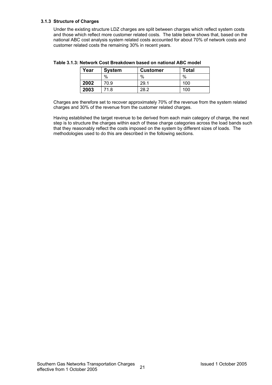#### **3.1.3 Structure of Charges**

Under the existing structure LDZ charges are split between charges which reflect system costs and those which reflect more customer related costs. The table below shows that, based on the national ABC cost analysis system related costs accounted for about 70% of network costs and customer related costs the remaining 30% in recent years.

| Year | <b>System</b> | <b>Customer</b> | Total |
|------|---------------|-----------------|-------|
|      | %             | %               | %     |
| 2002 | 70.9          | 29.1            | 100   |
| 2003 | 71.8          | 28.2            | 100   |

**Table 3.1.3: Network Cost Breakdown based on national ABC model** 

Charges are therefore set to recover approximately 70% of the revenue from the system related charges and 30% of the revenue from the customer related charges.

Having established the target revenue to be derived from each main category of charge, the next step is to structure the charges within each of these charge categories across the load bands such that they reasonably reflect the costs imposed on the system by different sizes of loads. The methodologies used to do this are described in the following sections.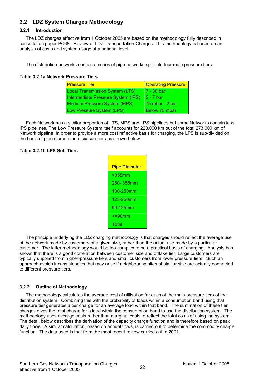### **3.2 LDZ System Charges Methodology**

#### **3.2.1 Introduction**

The LDZ charges effective from 1 October 2005 are based on the methodology fully described in consultation paper PC68 - Review of LDZ Transportation Charges. This methodology is based on an analysis of costs and system usage at a national level.

The distribution networks contain a series of pipe networks split into four main pressure tiers:

#### **Table 3.2.1a Network Pressure Tiers**

| <u>IPressure Tier</u>                  | <b>Operating Pressure</b> |
|----------------------------------------|---------------------------|
| <b>Local Transmission System (LTS)</b> | l7 - 38 bar               |
| Intermediate Pressure System (IPS)     | I2 - 7 bar                |
| Medium Pressure System (MPS)           | 175 mbar - 2 bar          |
| Low Pressure System (LPS)              | IBelow 75 mbar            |

Each Network has a similar proportion of LTS, MPS and LPS pipelines but some Networks contain less IPS pipelines. The Low Pressure System itself accounts for 223,000 km out of the total 273,000 km of Network pipeline. In order to provide a more cost reflective basis for charging, the LPS is sub-divided on the basis of pipe diameter into six sub-tiers as shown below.

#### **Table 3.2.1b LPS Sub Tiers**

| <b>Pipe Diameter</b> |
|----------------------|
| $>355$ mm            |
| 250-355mm            |
| 180-250mm            |
| 125-250mm            |
| 90-125mm             |
| $\leq$ =90 $mm$      |
| Total                |

The principle underlying the LDZ charging methodology is that charges should reflect the average use of the network made by customers of a given size, rather than the actual use made by a particular customer. The latter methodology would be too complex to be a practical basis of charging. Analysis has shown that there is a good correlation between customer size and offtake tier. Large customers are typically supplied from higher-pressure tiers and small customers from lower pressure tiers. Such an approach avoids inconsistencies that may arise if neighbouring sites of similar size are actually connected to different pressure tiers.

#### **3.2.2 Outline of Methodology**

The methodology calculates the average cost of utilisation for each of the main pressure tiers of the distribution system. Combining this with the probability of loads within a consumption band using that pressure tier generates a tier charge for an average load within that band. The summation of these tier charges gives the total charge for a load within the consumption band to use the distribution system. The methodology uses average costs rather than marginal costs to reflect the total costs of using the system. The detail below describes the derivation of the capacity charge function and is therefore based on peak daily flows. A similar calculation, based on annual flows, is carried out to determine the commodity charge function. The data used is that from the most recent review carried out in 2001.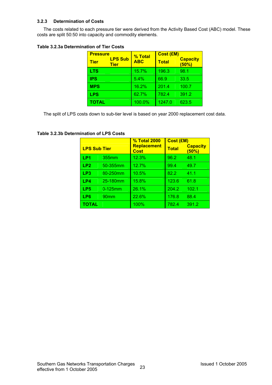#### **3.2.3 Determination of Costs**

The costs related to each pressure tier were derived from the Activity Based Cost (ABC) model. These costs are split 50:50 into capacity and commodity elements.

#### **Table 3.2.3a Determination of Tier Costs**

| <b>Pressure</b> |                               | % Total    | <b>Cost (£M)</b> |                          |
|-----------------|-------------------------------|------------|------------------|--------------------------|
| <b>Tier</b>     | <b>LPS Sub</b><br><b>Tier</b> | <b>ABC</b> | <b>Total</b>     | <b>Capacity</b><br>(50%) |
| <b>LTS</b>      |                               | 15.7%      | 196.3            | 98.1                     |
| <b>IPS</b>      |                               | 5.4%       | 66.9             | 33.5                     |
| <b>MPS</b>      |                               | 16.2%      | 201.4            | 100.7                    |
| <b>LPS</b>      |                               | 62.7%      | 782.4            | 391.2                    |
| <b>TOTAL</b>    |                               | 100.0%     | 1247.0           | 623.5                    |

The split of LPS costs down to sub-tier level is based on year 2000 replacement cost data.

|                     |            | <b>% Total 2000</b>        | Cost (£M)    |                          |
|---------------------|------------|----------------------------|--------------|--------------------------|
| <b>LPS Sub Tier</b> |            | Replacement<br><b>Cost</b> | <b>Total</b> | <b>Capacity</b><br>(50%) |
| LP1                 | 355mm      | 12.3%                      | 96.2         | 48.1                     |
| LP <sub>2</sub>     | 50-355mm   | 12.7%                      | 99.4         | 49.7                     |
| LP3                 | 80-250mm   | 10.5%                      | 82.2         | 41.1                     |
| LP4                 | 25-180mm   | 15.8%                      | 123.6        | 61.8                     |
| LP <sub>5</sub>     | $0-125$ mm | 26.1%                      | 204.2        | 102.1                    |
| LP6                 | 90mm       | 22.6%                      | 176.8        | 88.4                     |
| TOTAL               |            | 100%                       | 782.4        | 391.2                    |

#### **Table 3.2.3b Determination of LPS Costs**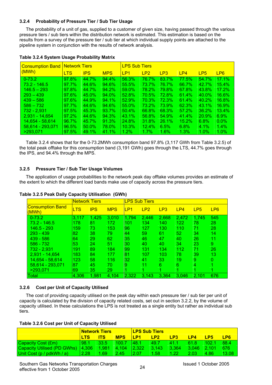#### **3.2.4 Probability of Pressure Tier / Sub Tier Usage**

The probability of a unit of gas, supplied to a customer of given size, having passed through the various pressure tiers / sub tiers within the distribution network is estimated. This estimation is based on the results from a survey of the pressure tier / sub tier at which individual supply points are attached to the pipeline system in conjunction with the results of network analysis.

| <b>Consumption Band</b> |            | <b>Network Tiers</b> |            |                 | <b>LPS Sub Tiers</b> |         |       |              |                 |  |  |  |
|-------------------------|------------|----------------------|------------|-----------------|----------------------|---------|-------|--------------|-----------------|--|--|--|
| (MWh)                   | <b>LTS</b> | <b>IPS</b>           | <b>MPS</b> | LP <sub>1</sub> | LP2                  | LP3     | LP4   | LP5          | LP <sub>6</sub> |  |  |  |
| $0 - 73.2$              | 97.8%      | 44.7%                | 94.4%      | 56.3%           | 76.7%                | 83.7%   | 77.5% | 54.7%        | 17.1%           |  |  |  |
| $73.2 - 146.5$          | 97.7%      | 44.6%                | 94.6%      | 55.5%           | 73.7%                | 76.7%   | 66.7% | 42.7%        | 15.4%           |  |  |  |
| $146.5 - 293$           | 97.8%      | 44.7%                | $94.2\%$   | 59.0%           | 78.2%                | 79.8%   | 67.8% | 43.8%        | 17.2%           |  |  |  |
| $293 - 439$             | 97.6%      | 45.0%                | 94.0%      | 52.8%           | 70.5%                | 72.8%   | 61.4% | $40.0\%$     | 16.6%           |  |  |  |
| $439 - 586$             | 97.6%      | 44.9%                | $94.1\%$   | 52.9%           | 70.3%                | 72.3%   | 61.4% | 40.2%        | 16.8%           |  |  |  |
| $586 - 732$             | 97.7%      | 44.6%                | 94.6%      | 55.0%           | 73.2%                | 73.9%   | 62.3% | 43.1%        | 16.9%           |  |  |  |
| 732 - 2.931             | 97.5%      | 45.3%                | 93.7%      | 50.4%           | 66.8%                | 68.3%   | 57.2% | 36.2%        | $13.4\%$        |  |  |  |
| $2.931 - 14.654$        | $97.2\%$   | 44.6%                | 94.3%      | 43.1%           | 56.8%                | 54.9%   | 41.4% | <b>20.9%</b> | $6.9\%$         |  |  |  |
| 14.654 - 58.614         | 96.7%      | 45.7%                | 91.3%      | 24.8%           | 31.8%                | 26.1%   | 15.2% | 6.8%         | $0.0\%$         |  |  |  |
| 58,614 - 293,071        | 96.5%      | $50.0\%$             | 78.0%      | 10.3%           | 12.4%                | 6.5%    | 6.8%  | $4.1\%$      | $1.4\%$         |  |  |  |
| >293.071                | 97.5%      | 49.1%                | 41.1%      | 1.2%            | $1.7\%$              | $1.6\%$ | 1.3%  | $1.0\%$      | $1.0\%$         |  |  |  |

#### **Table 3.2.4 System Usage Probability Matrix**

Table 3.2.4 shows that for the 0-73.2MWh consumption band 97.8% (3,117 GWh from Table 3.2.5) of the total peak offtake for this consumption band (3,191 GWh) goes through the LTS, 44.7% goes through the IPS, and 94.4% through the MPS.

#### **3.2.5 Pressure Tier / Sub Tier Usage Volumes**

The application of usage probabilities to the network peak day offtake volumes provides an estimate of the extent to which the different load bands make use of capacity across the pressure tiers.

|                                  | <b>Network Tiers</b> |            |            |       | <b>LPS Sub Tiers</b> |                 |       |                 |                 |
|----------------------------------|----------------------|------------|------------|-------|----------------------|-----------------|-------|-----------------|-----------------|
| <b>Consumption Band</b><br>(MWh) | LTS                  | <b>IPS</b> | <b>MPS</b> | LP1   | LP2                  | LP <sub>3</sub> | LP4   | LP <sub>5</sub> | LP <sub>6</sub> |
| $0 - 73.2$                       | 3.117                | 1,425      | 3,010      | 1,794 | 2.446                | 2,668           | 2,472 | 1,745           | 545             |
| $73.2 - 146.5$                   | 178                  | 81         | 172        | 101   | 134                  | 140             | 122   | 78              | 28              |
| 146.5 - 293                      | 159                  | 73         | 153        | 96    | 127                  | 130             | 110   | 71              | 28              |
| $293 - 439$                      | 82                   | 38         | 79.        | 44    | 59                   | 61              | 52    | 34              | 14              |
| $439 - 586$                      | 64                   | 29         | 62         | 35    | 46                   | 47              | 40    | 26              | 11              |
| $586 - 732$                      | 53                   | 24         | 51         | 30    | 40                   | 40              | 34    | 23              | 9               |
| 732 - 2,931                      | 191                  | 89         | 184        | 99    | 131                  | 134             | 112   | 71              | 26              |
| $2,931 - 14,654$                 | 183                  | 84         | 177        | 81    | 107                  | 103             | 78    | 39              | 13              |
| 14.654 - 58.614                  | 123                  | 58         | 116        | 32    | 41                   | 33              | 19    | 9               | 0               |
| 58,614 - 293,071                 | 87                   | 45         | 70         | 9     | 11                   | 6               | 6     | 4               |                 |
| >293.071                         | 69                   | 35         | 29         |       |                      |                 |       |                 |                 |
| Total                            | 4.306                | 1,981      | 4.104      | 2,322 | 3,143                | 3.364           | 3.046 | 2,101           | 676             |

#### **Table 3.2.5 Peak Daily Capacity Utilisation (GWh)**

#### **3.2.6 Cost per Unit of Capacity Utilised**

The cost of providing capacity utilised on the peak day within each pressure tier / sub tier per unit of capacity is calculated by the division of capacity related costs, set out in section 3.2.2, by the volume of capacity utilised. In these calculations the LPS is not treated as a single entity but rather as individual sub tiers.

|                                             | <u> Network Tiers</u> |            |                | <b>LPS Sub Tiers</b> |       |       |               |       |       |
|---------------------------------------------|-----------------------|------------|----------------|----------------------|-------|-------|---------------|-------|-------|
|                                             | LTS                   | <b>ITS</b> | <b>MPS</b>     | <u>IP1</u>           | IP2   | LP3   | LP4           | I P5  | LP6   |
| Capacity Cost (£m)                          | 98.1                  | 33.5       | 100.7          | <b>48.1</b>          | 49.7  | 411   | 61.8          | 102.1 | 88.4  |
| Capacity Utilised (PD GWhs)   4,306   1,981 |                       |            | $\sqrt{4.104}$ | 12.322               | 3.143 | 3.364 | $3.046$ 2.101 |       | 676   |
| Unit Cost ( $p / pdkWh / a$ )               | 2.28                  | 1.69       | 2.45           | 12.07                | 1.58  | 1.22  | 2.03          | 4.86  | 13.08 |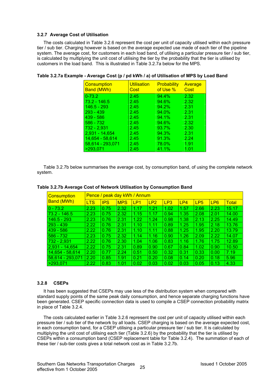#### **3.2.7 Average Cost of Utilisation**

The costs calculated in Table 3.2.6 represent the cost per unit of capacity utilised within each pressure tier / sub tier. Charging however is based on the average expected use made of each tier of the pipeline system. The average cost, for customers in each load band, of utilising a particular pressure tier / sub tier, is calculated by multiplying the unit cost of utilising the tier by the probability that the tier is utilised by customers in the load band. This is illustrated in Table 3.2.7a below for the MPS.

| Consumption<br><b>Band (MWh)</b> | <b>Utilisation</b><br>Cost | <b>Probability</b><br>of Use % | Average<br>Cost |
|----------------------------------|----------------------------|--------------------------------|-----------------|
| $0 - 73.2$                       | 2.45                       | 94.4%                          | 2.32            |
| $73.2 - 146.5$                   | 2.45                       | 94.6%                          | 2.32            |
| $146.5 - 293$                    | 2.45                       | 94.2%                          | 2.31            |
| $293 - 439$                      | 2.45                       | 94.0%                          | 2.31            |
| $439 - 586$                      | 2.45                       | 94.1%                          | 2.31            |
| $586 - 732$                      | 2.45                       | 94.6%                          | 2.32            |
| $732 - 2,931$                    | 2.45                       | 93.7%                          | 2.30            |
| $2,931 - 14,654$                 | 2.45                       | 94.3%                          | 2.31            |
| 14,654 - 58,614                  | 2.45                       | 91.3%                          | 2.24            |
| 58,614 - 293,071                 | 2.45                       | 78.0%                          | 1.91            |
| >293,071                         | 2.45                       | 41.1%                          | 1.01            |

| Table 3.2.7a Example - Average Cost (p / pd kWh / a) of Utilisation of MPS by Load Band |
|-----------------------------------------------------------------------------------------|
|-----------------------------------------------------------------------------------------|

Table 3.2.7b below summarises the average cost, by consumption band, of using the complete network system.

| <b>Consumption</b> | Pence / peak day kWh / Annum |            |            |      |      |      |      |                 |                 |              |
|--------------------|------------------------------|------------|------------|------|------|------|------|-----------------|-----------------|--------------|
| <b>Band (MWh)</b>  | LTS                          | <b>IPS</b> | <b>MPS</b> | LP1  | LP2  | LP3  | LP4  | LP <sub>5</sub> | LP <sub>6</sub> | <b>Total</b> |
| $0 - 73.2$         | 2.23                         | 0.75       | 2.32       | .17  | 1.21 | 1.02 | 1.57 | 2.66            | 2.23            | 15.17        |
| $73.2 - 146.5$     | 2.23                         | 0.75       | 2.32       | 1.15 | 1.17 | 0.94 | 1.35 | 2.08            | 2.01            | 14.00        |
| $146.5 - 293$      | 2.23                         | 0.76       | 2.31       | 1.22 | 1.24 | 0.98 | 1.38 | 2.13            | 2.25            | 14.49        |
| $293 - 439$        | 2.22                         | 0.76       | 2.31       | 1.10 | 1.11 | 0.89 | 1.25 | 1.95            | 2.18            | 13.76        |
| $439 - 586$        | 2.22                         | 0.76       | 2.31       | 1.10 | 1.11 | 0.88 | 1.25 | 1.95            | 2.20            | 13.79        |
| $586 - 732$        | 2.23                         | 0.75       | 2.32       | 1.14 | 1.16 | 0.90 | 1.26 | 2.09            | 2.22            | 14.07        |
| $732 - 2,931$      | 2.22                         | 0.76       | 2.30       | 1.04 | 1.06 | 0.83 | 1.16 | 1.76            | 1.75            | 12.89        |
| $2,931 - 14,654$   | 2.22                         | 0.75       | 2.31       | 0.89 | 0.90 | 0.67 | 0.84 | 1.02            | 0.90            | 10.50        |
| 14,654 - 58,614    | 2.20                         | 0.77       | 2.24       | 0.51 | 0.50 | 0.32 | 0.31 | 0.33            | 0.00            | 7.19         |
| 58,614 - 293,071   | 2.20                         | 0.85       | 1.91       | 0.21 | 0.20 | 0.08 | 0.14 | 0.20            | 0.18            | 5.96         |
| >293,071           | 2.22                         | 0.83       | 1.01       | 0.02 | 0.03 | 0.02 | 0.03 | 0.05            | 0.13            | 4.33         |

#### **Table 3.2.7b Average Cost of Network Utilisation by Consumption Band**

#### **3.2.8 CSEPs**

It has been suggested that CSEPs may use less of the distribution system when compared with standard supply points of the same peak daily consumption, and hence separate charging functions have been generated. CSEP specific connection data is used to compile a CSEP connection probability matrix in place of Table 3.2.4.

The costs calculated earlier in Table 3.2.6 represent the cost per unit of capacity utilised within each pressure tier / sub tier of the network by all loads. CSEP charging is based on the average expected cost, in each consumption band, for a CSEP utilising a particular pressure tier / sub tier. It is calculated by multiplying the unit cost of utilising each tier (Table 3.2.6) by the probability that the tier is utilised by CSEPs within a consumption band (CSEP replacement table for Table 3.2.4). The summation of each of these tier / sub-tier costs gives a total network cost as in Table 3.2.7b.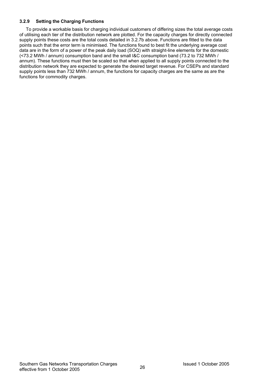#### **3.2.9 Setting the Charging Functions**

To provide a workable basis for charging individual customers of differing sizes the total average costs of utilising each tier of the distribution network are plotted. For the capacity charges for directly connected supply points these costs are the total costs detailed in 3.2.7b above. Functions are fitted to the data points such that the error term is minimised. The functions found to best fit the underlying average cost data are in the form of a power of the peak daily load (SOQ) with straight-line elements for the domestic (<73.2 MWh / annum) consumption band and the small I&C consumption band (73.2 to 732 MWh / annum). These functions must then be scaled so that when applied to all supply points connected to the distribution network they are expected to generate the desired target revenue. For CSEPs and standard supply points less than 732 MWh / annum, the functions for capacity charges are the same as are the functions for commodity charges.